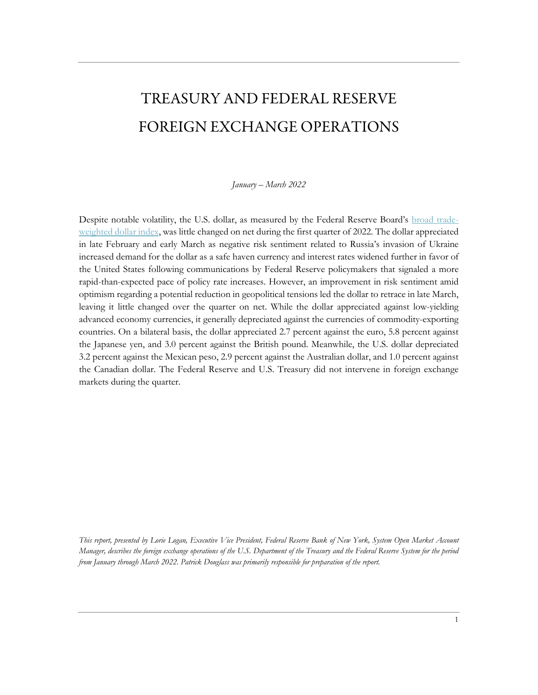# TREASURY AND FEDERAL RESERVE FOREIGN EXCHANGE OPERATIONS

*January – March 2022*

Despite notable volatility, the U.S. dollar, as measured by the Federal Reserve Board's [broad trade](https://www.federalreserve.gov/econres/notes/feds-notes/revisions-to-the-federal-reserve-dollar-indexes-20190115.htm)[weighted dollar index,](https://www.federalreserve.gov/econres/notes/feds-notes/revisions-to-the-federal-reserve-dollar-indexes-20190115.htm) was little changed on net during the first quarter of 2022. The dollar appreciated in late February and early March as negative risk sentiment related to Russia's invasion of Ukraine increased demand for the dollar as a safe haven currency and interest rates widened further in favor of the United States following communications by Federal Reserve policymakers that signaled a more rapid-than-expected pace of policy rate increases. However, an improvement in risk sentiment amid optimism regarding a potential reduction in geopolitical tensions led the dollar to retrace in late March, leaving it little changed over the quarter on net. While the dollar appreciated against low-yielding advanced economy currencies, it generally depreciated against the currencies of commodity-exporting countries. On a bilateral basis, the dollar appreciated 2.7 percent against the euro, 5.8 percent against the Japanese yen, and 3.0 percent against the British pound. Meanwhile, the U.S. dollar depreciated 3.2 percent against the Mexican peso, 2.9 percent against the Australian dollar, and 1.0 percent against the Canadian dollar. The Federal Reserve and U.S. Treasury did not intervene in foreign exchange markets during the quarter.

*This report, presented by Lorie Logan, Executive Vice President, Federal Reserve Bank of New York, System Open Market Account Manager, describes the foreign exchange operations of the U.S. Department of the Treasury and the Federal Reserve System for the period from January through March 2022. Patrick Douglass was primarily responsible for preparation of the report.*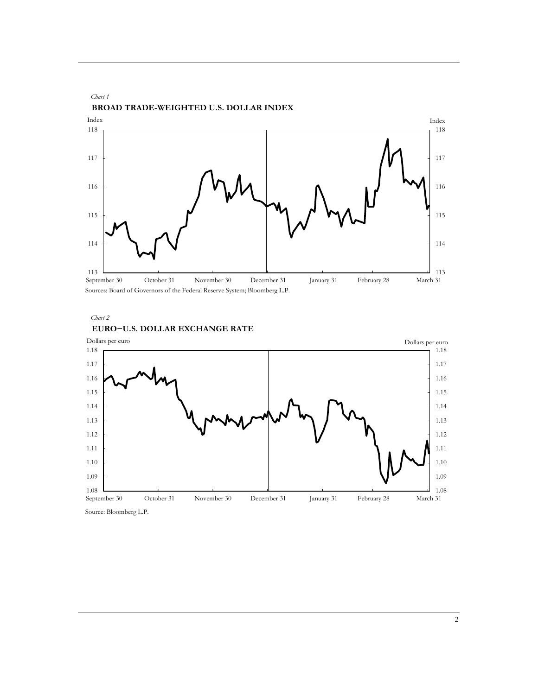

Sources: Board of Governors of the Federal Reserve System; Bloomberg L.P.





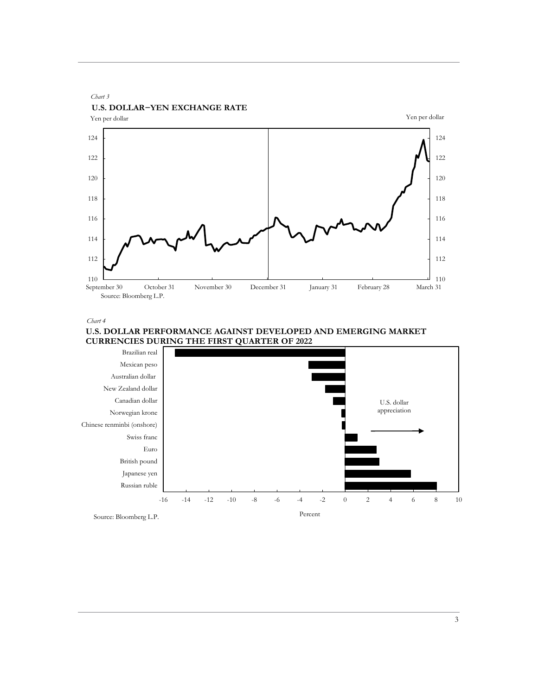

*Chart 4*



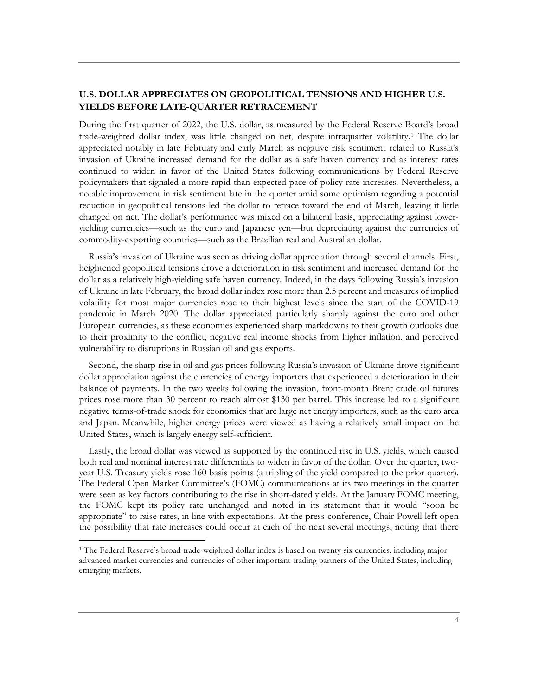# **U.S. DOLLAR APPRECIATES ON GEOPOLITICAL TENSIONS AND HIGHER U.S. YIELDS BEFORE LATE-QUARTER RETRACEMENT**

During the first quarter of 2022, the U.S. dollar, as measured by the Federal Reserve Board's broad trade-weighted dollar index, was little changed on net, despite intraquarter volatility.[1](#page-3-0) The dollar appreciated notably in late February and early March as negative risk sentiment related to Russia's invasion of Ukraine increased demand for the dollar as a safe haven currency and as interest rates continued to widen in favor of the United States following communications by Federal Reserve policymakers that signaled a more rapid-than-expected pace of policy rate increases. Nevertheless, a notable improvement in risk sentiment late in the quarter amid some optimism regarding a potential reduction in geopolitical tensions led the dollar to retrace toward the end of March, leaving it little changed on net. The dollar's performance was mixed on a bilateral basis, appreciating against loweryielding currencies—such as the euro and Japanese yen—but depreciating against the currencies of commodity-exporting countries—such as the Brazilian real and Australian dollar.

 Russia's invasion of Ukraine was seen as driving dollar appreciation through several channels. First, heightened geopolitical tensions drove a deterioration in risk sentiment and increased demand for the dollar as a relatively high-yielding safe haven currency. Indeed, in the days following Russia's invasion of Ukraine in late February, the broad dollar index rose more than 2.5 percent and measures of implied volatility for most major currencies rose to their highest levels since the start of the COVID-19 pandemic in March 2020. The dollar appreciated particularly sharply against the euro and other European currencies, as these economies experienced sharp markdowns to their growth outlooks due to their proximity to the conflict, negative real income shocks from higher inflation, and perceived vulnerability to disruptions in Russian oil and gas exports.

 Second, the sharp rise in oil and gas prices following Russia's invasion of Ukraine drove significant dollar appreciation against the currencies of energy importers that experienced a deterioration in their balance of payments. In the two weeks following the invasion, front-month Brent crude oil futures prices rose more than 30 percent to reach almost \$130 per barrel. This increase led to a significant negative terms-of-trade shock for economies that are large net energy importers, such as the euro area and Japan. Meanwhile, higher energy prices were viewed as having a relatively small impact on the United States, which is largely energy self-sufficient.

 Lastly, the broad dollar was viewed as supported by the continued rise in U.S. yields, which caused both real and nominal interest rate differentials to widen in favor of the dollar. Over the quarter, twoyear U.S. Treasury yields rose 160 basis points (a tripling of the yield compared to the prior quarter). The Federal Open Market Committee's (FOMC) communications at its two meetings in the quarter were seen as key factors contributing to the rise in short-dated yields. At the January FOMC meeting, the FOMC kept its policy rate unchanged and noted in its statement that it would "soon be appropriate" to raise rates, in line with expectations. At the press conference, Chair Powell left open the possibility that rate increases could occur at each of the next several meetings, noting that there

<span id="page-3-0"></span><sup>1</sup> The Federal Reserve's broad trade-weighted dollar index is based on twenty-six currencies, including major advanced market currencies and currencies of other important trading partners of the United States, including emerging markets.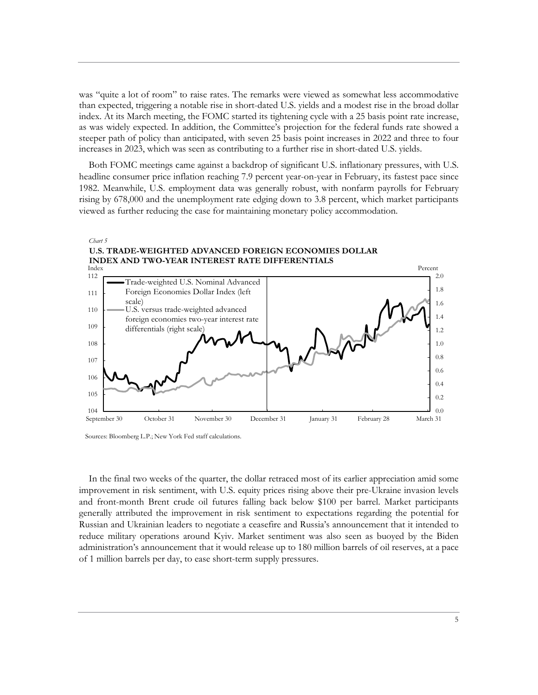was "quite a lot of room" to raise rates. The remarks were viewed as somewhat less accommodative than expected, triggering a notable rise in short-dated U.S. yields and a modest rise in the broad dollar index. At its March meeting, the FOMC started its tightening cycle with a 25 basis point rate increase, as was widely expected. In addition, the Committee's projection for the federal funds rate showed a steeper path of policy than anticipated, with seven 25 basis point increases in 2022 and three to four increases in 2023, which was seen as contributing to a further rise in short-dated U.S. yields.

 Both FOMC meetings came against a backdrop of significant U.S. inflationary pressures, with U.S. headline consumer price inflation reaching 7.9 percent year-on-year in February, its fastest pace since 1982. Meanwhile, U.S. employment data was generally robust, with nonfarm payrolls for February rising by 678,000 and the unemployment rate edging down to 3.8 percent, which market participants viewed as further reducing the case for maintaining monetary policy accommodation.



Sources: Bloomberg L.P.; New York Fed staff calculations.

 In the final two weeks of the quarter, the dollar retraced most of its earlier appreciation amid some improvement in risk sentiment, with U.S. equity prices rising above their pre-Ukraine invasion levels and front-month Brent crude oil futures falling back below \$100 per barrel. Market participants generally attributed the improvement in risk sentiment to expectations regarding the potential for Russian and Ukrainian leaders to negotiate a ceasefire and Russia's announcement that it intended to reduce military operations around Kyiv. Market sentiment was also seen as buoyed by the Biden administration's announcement that it would release up to 180 million barrels of oil reserves, at a pace of 1 million barrels per day, to ease short-term supply pressures.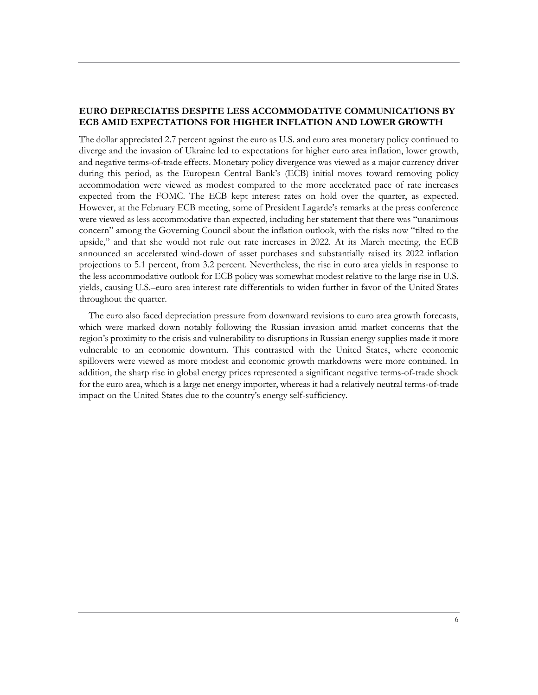# **EURO DEPRECIATES DESPITE LESS ACCOMMODATIVE COMMUNICATIONS BY ECB AMID EXPECTATIONS FOR HIGHER INFLATION AND LOWER GROWTH**

The dollar appreciated 2.7 percent against the euro as U.S. and euro area monetary policy continued to diverge and the invasion of Ukraine led to expectations for higher euro area inflation, lower growth, and negative terms-of-trade effects. Monetary policy divergence was viewed as a major currency driver during this period, as the European Central Bank's (ECB) initial moves toward removing policy accommodation were viewed as modest compared to the more accelerated pace of rate increases expected from the FOMC. The ECB kept interest rates on hold over the quarter, as expected. However, at the February ECB meeting, some of President Lagarde's remarks at the press conference were viewed as less accommodative than expected, including her statement that there was "unanimous concern" among the Governing Council about the inflation outlook, with the risks now "tilted to the upside," and that she would not rule out rate increases in 2022. At its March meeting, the ECB announced an accelerated wind-down of asset purchases and substantially raised its 2022 inflation projections to 5.1 percent, from 3.2 percent. Nevertheless, the rise in euro area yields in response to the less accommodative outlook for ECB policy was somewhat modest relative to the large rise in U.S. yields, causing U.S.–euro area interest rate differentials to widen further in favor of the United States throughout the quarter.

 The euro also faced depreciation pressure from downward revisions to euro area growth forecasts, which were marked down notably following the Russian invasion amid market concerns that the region's proximity to the crisis and vulnerability to disruptions in Russian energy supplies made it more vulnerable to an economic downturn. This contrasted with the United States, where economic spillovers were viewed as more modest and economic growth markdowns were more contained. In addition, the sharp rise in global energy prices represented a significant negative terms-of-trade shock for the euro area, which is a large net energy importer, whereas it had a relatively neutral terms-of-trade impact on the United States due to the country's energy self-sufficiency.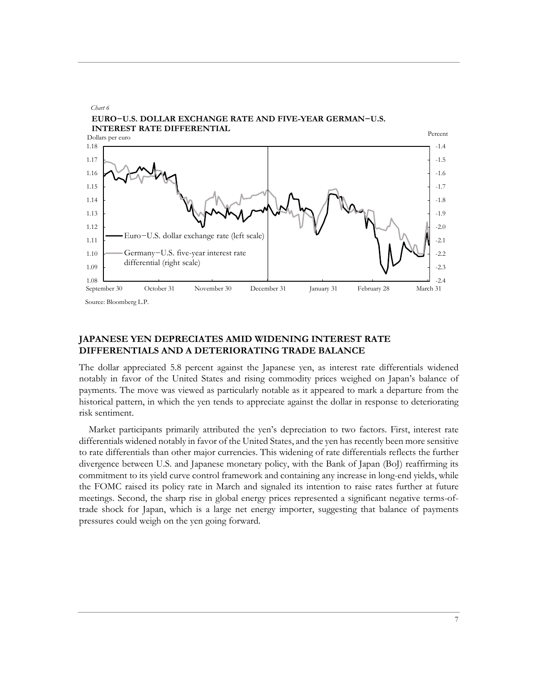

## **JAPANESE YEN DEPRECIATES AMID WIDENING INTEREST RATE DIFFERENTIALS AND A DETERIORATING TRADE BALANCE**

The dollar appreciated 5.8 percent against the Japanese yen, as interest rate differentials widened notably in favor of the United States and rising commodity prices weighed on Japan's balance of payments. The move was viewed as particularly notable as it appeared to mark a departure from the historical pattern, in which the yen tends to appreciate against the dollar in response to deteriorating risk sentiment.

 Market participants primarily attributed the yen's depreciation to two factors. First, interest rate differentials widened notably in favor of the United States, and the yen has recently been more sensitive to rate differentials than other major currencies. This widening of rate differentials reflects the further divergence between U.S. and Japanese monetary policy, with the Bank of Japan (BoJ) reaffirming its commitment to its yield curve control framework and containing any increase in long-end yields, while the FOMC raised its policy rate in March and signaled its intention to raise rates further at future meetings. Second, the sharp rise in global energy prices represented a significant negative terms-oftrade shock for Japan, which is a large net energy importer, suggesting that balance of payments pressures could weigh on the yen going forward.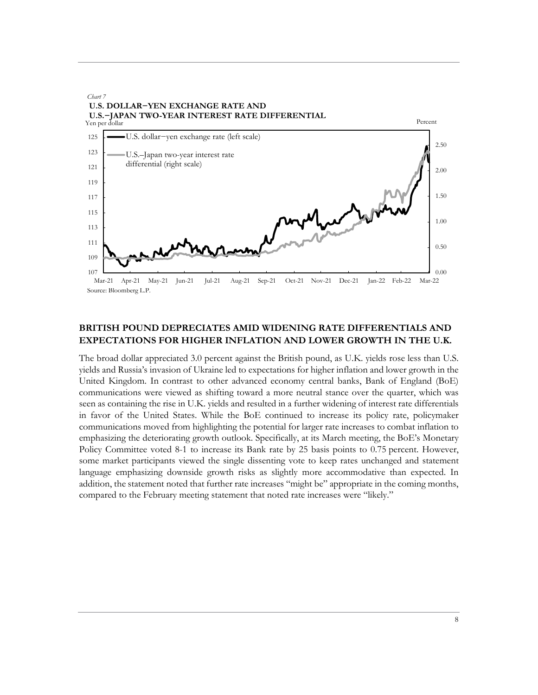

# **BRITISH POUND DEPRECIATES AMID WIDENING RATE DIFFERENTIALS AND EXPECTATIONS FOR HIGHER INFLATION AND LOWER GROWTH IN THE U.K.**

The broad dollar appreciated 3.0 percent against the British pound, as U.K. yields rose less than U.S. yields and Russia's invasion of Ukraine led to expectations for higher inflation and lower growth in the United Kingdom. In contrast to other advanced economy central banks, Bank of England (BoE) communications were viewed as shifting toward a more neutral stance over the quarter, which was seen as containing the rise in U.K. yields and resulted in a further widening of interest rate differentials in favor of the United States. While the BoE continued to increase its policy rate, policymaker communications moved from highlighting the potential for larger rate increases to combat inflation to emphasizing the deteriorating growth outlook. Specifically, at its March meeting, the BoE's Monetary Policy Committee voted 8-1 to increase its Bank rate by 25 basis points to 0.75 percent. However, some market participants viewed the single dissenting vote to keep rates unchanged and statement language emphasizing downside growth risks as slightly more accommodative than expected. In addition, the statement noted that further rate increases "might be" appropriate in the coming months, compared to the February meeting statement that noted rate increases were "likely."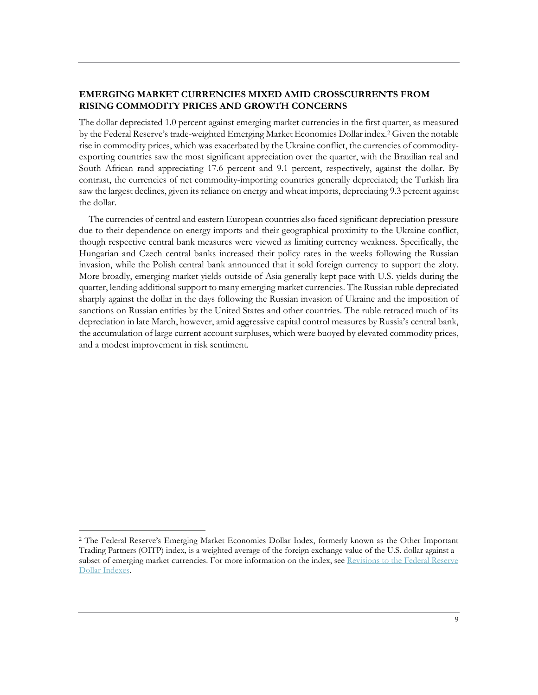# **EMERGING MARKET CURRENCIES MIXED AMID CROSSCURRENTS FROM RISING COMMODITY PRICES AND GROWTH CONCERNS**

The dollar depreciated 1.0 percent against emerging market currencies in the first quarter, as measured by the Federal Reserve's trade-weighted Emerging Market Economies Dollar index.[2](#page-8-0) Given the notable rise in commodity prices, which was exacerbated by the Ukraine conflict, the currencies of commodityexporting countries saw the most significant appreciation over the quarter, with the Brazilian real and South African rand appreciating 17.6 percent and 9.1 percent, respectively, against the dollar. By contrast, the currencies of net commodity-importing countries generally depreciated; the Turkish lira saw the largest declines, given its reliance on energy and wheat imports, depreciating 9.3 percent against the dollar.

 The currencies of central and eastern European countries also faced significant depreciation pressure due to their dependence on energy imports and their geographical proximity to the Ukraine conflict, though respective central bank measures were viewed as limiting currency weakness. Specifically, the Hungarian and Czech central banks increased their policy rates in the weeks following the Russian invasion, while the Polish central bank announced that it sold foreign currency to support the zloty. More broadly, emerging market yields outside of Asia generally kept pace with U.S. yields during the quarter, lending additional support to many emerging market currencies. The Russian ruble depreciated sharply against the dollar in the days following the Russian invasion of Ukraine and the imposition of sanctions on Russian entities by the United States and other countries. The ruble retraced much of its depreciation in late March, however, amid aggressive capital control measures by Russia's central bank, the accumulation of large current account surpluses, which were buoyed by elevated commodity prices, and a modest improvement in risk sentiment.

<span id="page-8-0"></span><sup>2</sup> The Federal Reserve's Emerging Market Economies Dollar Index, formerly known as the Other Important Trading Partners (OITP) index, is a weighted average of the foreign exchange value of the U.S. dollar against a subset of emerging market currencies. For more information on the index, see [Revisions to the Federal Reserve](https://www.federalreserve.gov/econres/notes/feds-notes/revisions-to-the-federal-reserve-dollar-indexes-20190115.htm) [Dollar Indexes.](https://www.federalreserve.gov/econres/notes/feds-notes/revisions-to-the-federal-reserve-dollar-indexes-20190115.htm)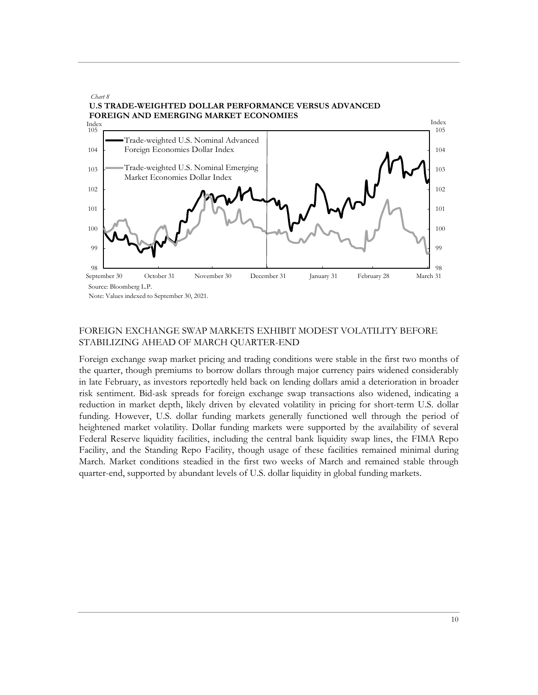

Note: Values indexed to September 30, 2021.

## FOREIGN EXCHANGE SWAP MARKETS EXHIBIT MODEST VOLATILITY BEFORE STABILIZING AHEAD OF MARCH QUARTER-END

Foreign exchange swap market pricing and trading conditions were stable in the first two months of the quarter, though premiums to borrow dollars through major currency pairs widened considerably in late February, as investors reportedly held back on lending dollars amid a deterioration in broader risk sentiment. Bid-ask spreads for foreign exchange swap transactions also widened, indicating a reduction in market depth, likely driven by elevated volatility in pricing for short-term U.S. dollar funding. However, U.S. dollar funding markets generally functioned well through the period of heightened market volatility. Dollar funding markets were supported by the availability of several Federal Reserve liquidity facilities, including the central bank liquidity swap lines, the FIMA Repo Facility, and the Standing Repo Facility, though usage of these facilities remained minimal during March. Market conditions steadied in the first two weeks of March and remained stable through quarter-end, supported by abundant levels of U.S. dollar liquidity in global funding markets.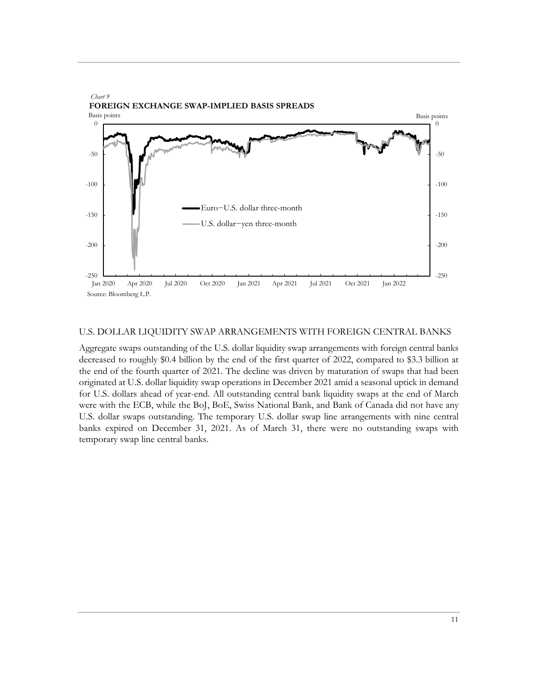

#### U.S. DOLLAR LIQUIDITY SWAP ARRANGEMENTS WITH FOREIGN CENTRAL BANKS

Aggregate swaps outstanding of the U.S. dollar liquidity swap arrangements with foreign central banks decreased to roughly \$0.4 billion by the end of the first quarter of 2022, compared to \$3.3 billion at the end of the fourth quarter of 2021. The decline was driven by maturation of swaps that had been originated at U.S. dollar liquidity swap operations in December 2021 amid a seasonal uptick in demand for U.S. dollars ahead of year-end. All outstanding central bank liquidity swaps at the end of March were with the ECB, while the BoJ, BoE, Swiss National Bank, and Bank of Canada did not have any U.S. dollar swaps outstanding. The temporary U.S. dollar swap line arrangements with nine central banks expired on December 31, 2021. As of March 31, there were no outstanding swaps with temporary swap line central banks.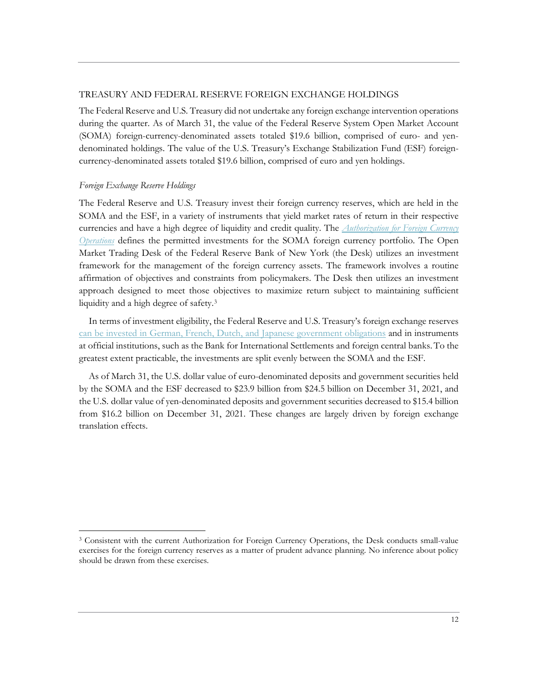#### TREASURY AND FEDERAL RESERVE FOREIGN EXCHANGE HOLDINGS

The Federal Reserve and U.S. Treasury did not undertake any foreign exchange intervention operations during the quarter. As of March 31, the value of the Federal Reserve System Open Market Account (SOMA) foreign-currency-denominated assets totaled \$19.6 billion, comprised of euro- and yendenominated holdings. The value of the U.S. Treasury's Exchange Stabilization Fund (ESF) foreigncurrency-denominated assets totaled \$19.6 billion, comprised of euro and yen holdings.

#### *Foreign Exchange Reserve Holdings*

The Federal Reserve and U.S. Treasury invest their foreign currency reserves, which are held in the SOMA and the ESF, in a variety of instruments that yield market rates of return in their respective currencies and have a high degree of liquidity and credit quality. The *[Authorization for Foreign Currency](https://www.federalreserve.gov/monetarypolicy/files/FOMC_ForeignAuthorization.pdf)  [Operations](https://www.federalreserve.gov/monetarypolicy/files/FOMC_ForeignAuthorization.pdf)* defines the permitted investments for the SOMA foreign currency portfolio. The Open Market Trading Desk of the Federal Reserve Bank of New York (the Desk) utilizes an investment framework for the management of the foreign currency assets. The framework involves a routine affirmation of objectives and constraints from policymakers. The Desk then utilizes an investment approach designed to meet those objectives to maximize return subject to maintaining sufficient liquidity and a high degree of safety.[3](#page-11-0)

 In terms of investment eligibility, the Federal Reserve and U.S. Treasury's foreign exchange reserves [can be invested in German, French, Dutch, and Japanese government obligations](https://www.newyorkfed.org/markets/international-market-operations/foreign-reserves-management) and in instruments at official institutions, such as the Bank for International Settlements and foreign central banks.To the greatest extent practicable, the investments are split evenly between the SOMA and the ESF.

 As of March 31, the U.S. dollar value of euro-denominated deposits and government securities held by the SOMA and the ESF decreased to \$23.9 billion from \$24.5 billion on December 31, 2021, and the U.S. dollar value of yen-denominated deposits and government securities decreased to \$15.4 billion from \$16.2 billion on December 31, 2021. These changes are largely driven by foreign exchange translation effects.

<span id="page-11-0"></span><sup>&</sup>lt;sup>3</sup> Consistent with the current Authorization for Foreign Currency Operations, the Desk conducts small-value exercises for the foreign currency reserves as a matter of prudent advance planning. No inference about policy should be drawn from these exercises.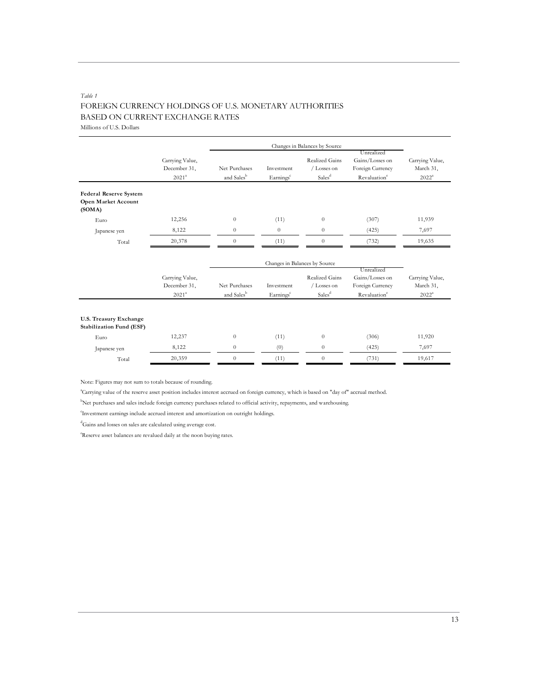# *Table 1* FOREIGN CURRENCY HOLDINGS OF U.S. MONETARY AUTHORITIES BASED ON CURRENT EXCHANGE RATES

Millions of U.S. Dollars

|                                                         |                                                      | Changes in Balances by Source           |                                     |                                                            |                                                                               |                                          |
|---------------------------------------------------------|------------------------------------------------------|-----------------------------------------|-------------------------------------|------------------------------------------------------------|-------------------------------------------------------------------------------|------------------------------------------|
|                                                         | Carrying Value,<br>December 31,<br>2021 <sup>a</sup> | Net Purchases<br>and Sales <sup>b</sup> | Investment<br>Earnings <sup>c</sup> | Realized Gains<br>/ Losses on<br>Sales <sup>d</sup>        | Unrealized<br>Gains/Losses on<br>Foreign Currency<br>Revaluation <sup>c</sup> | Carrying Value,<br>March 31,<br>$2022^a$ |
| Federal Reserve System<br>Open Market Account<br>(SOMA) |                                                      |                                         |                                     |                                                            |                                                                               |                                          |
| Euro                                                    | 12,256                                               | $\theta$                                | (11)                                | $\theta$                                                   | (307)                                                                         | 11,939                                   |
| Japanese yen                                            | 8,122                                                | $\theta$                                | $\theta$                            | $\theta$                                                   | (425)                                                                         | 7,697                                    |
| Total                                                   | 20,378                                               | $\boldsymbol{0}$                        | (11)                                | $\boldsymbol{0}$                                           | (732)                                                                         | 19,635                                   |
|                                                         |                                                      |                                         |                                     | Changes in Balances by Source                              |                                                                               |                                          |
|                                                         | Carrying Value,<br>December 31,<br>2021 <sup>a</sup> | Net Purchases<br>and Salesb             | Investment<br>Earnings              | <b>Realized Gains</b><br>/ Losses on<br>Sales <sup>d</sup> | Unrealized<br>Gains/Losses on<br>Foreign Currency<br>Revaluation <sup>c</sup> | Carrying Value,<br>March 31,<br>$2022^a$ |
| U.S. Treasury Exchange<br>Stabilization Fund (ESF)      |                                                      |                                         |                                     |                                                            |                                                                               |                                          |
| Euro                                                    | 12,237                                               | $\boldsymbol{0}$                        | (11)                                | $\boldsymbol{0}$                                           | (306)                                                                         | 11,920                                   |
| Japanese yen                                            | 8,122                                                | $\theta$                                | (0)                                 | $\theta$                                                   | (425)                                                                         | 7,697                                    |
| Total                                                   | 20,359                                               | $\theta$                                | (11)                                | $\theta$                                                   | (731)                                                                         | 19,617                                   |

Note: Figures may not sum to totals because of rounding.

a Carrying value of the reserve asset position includes interest accrued on foreign currency, which is based on "day of" accrual method.

b Net purchases and sales include foreign currency purchases related to official activity, repayments, and warehousing.

c Investment earnings include accrued interest and amortization on outright holdings.

d Gains and losses on sales are calculated using average cost.

e Reserve asset balances are revalued daily at the noon buying rates.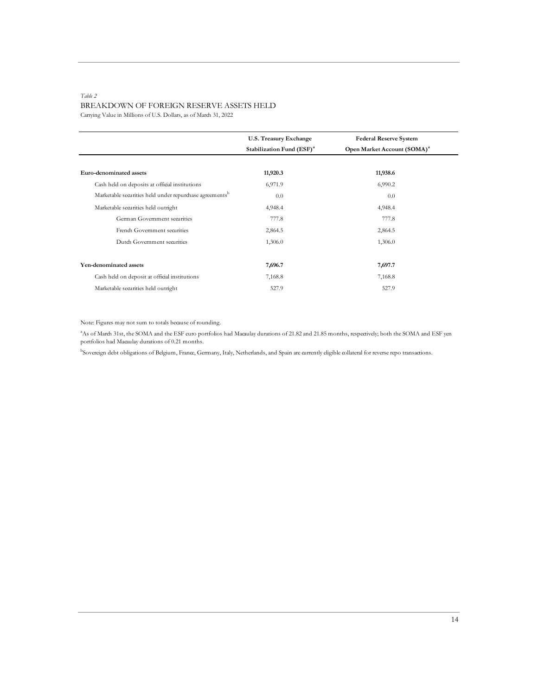#### *Table 2* BREAKDOWN OF FOREIGN RESERVE ASSETS HELD Carrying Value in Millions of U.S. Dollars, as of March 31, 2022

|                                                                     | U.S. Treasury Exchange<br>Stabilization Fund (ESF) <sup>a</sup> | <b>Federal Reserve System</b><br>Open Market Account (SOMA) <sup>a</sup> |
|---------------------------------------------------------------------|-----------------------------------------------------------------|--------------------------------------------------------------------------|
| Euro-denominated assets                                             | 11,920.3                                                        | 11,938.6                                                                 |
| Cash held on deposits at official institutions                      | 6,971.9                                                         | 6,990.2                                                                  |
| Marketable securities held under repurchase agreements <sup>b</sup> | 0.0                                                             | 0.0                                                                      |
| Marketable securities held outright                                 | 4,948.4                                                         | 4,948.4                                                                  |
| German Government securities                                        | 777.8                                                           | 777.8                                                                    |
| French Government securities                                        | 2,864.5                                                         | 2,864.5                                                                  |
| Dutch Government securities                                         | 1,306.0                                                         | 1,306.0                                                                  |
| Yen-denominated assets                                              | 7,696.7                                                         | 7,697.7                                                                  |
| Cash held on deposit at official institutions                       | 7,168.8                                                         | 7,168.8                                                                  |
| Marketable securities held outright                                 | 527.9                                                           | 527.9                                                                    |

Note: Figures may not sum to totals because of rounding.

<sup>a</sup> As of March 31st, the SOMA and the ESF euro portfolios had Macaulay durations of 21.82 and 21.85 months, respectively; both the SOMA and ESF yen portfolios had Macaulay durations of 0.21 months.

b Sovereign debt obligations of Belgium, France, Germany, Italy, Netherlands, and Spain are currently eligible collateral for reverse repo transactions.